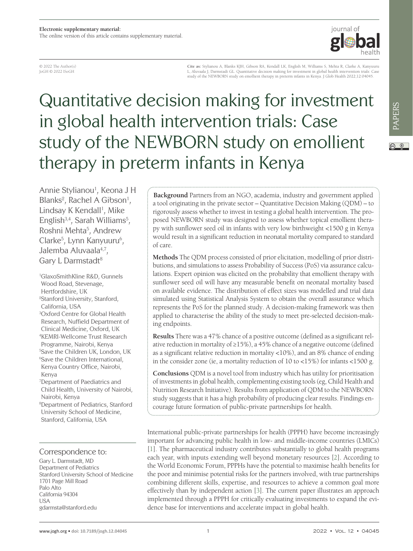

© 2022 The Author(s) JoGH © 2022 ISoGH

**Cite as:** Stylianou A, Blanks KJH, Gibson RA, Kendall LK, English M, Williams S, Mehta R, Clarke A, Kanyuuru L, Aluvaala J, Darmstadt GL. Quantitative decision making for investment in global health intervention trials: Case study of the NEWBORN study on emollient therapy in preterm infants in Kenya. J Glob Health 2022;12:04045.

# Quantitative decision making for investment in global health intervention trials: Case study of the NEWBORN study on emollient therapy in preterm infants in Kenya

Annie Stylianou<sup>1</sup>, Keona J H Blanks<sup>2</sup>, Rachel A Gibson<sup>1</sup>, Lindsay K Kendall<sup>1</sup>, Mike English<sup>3,4</sup>, Sarah Williams<sup>5</sup>, Roshni Mehta<sup>5</sup>, Andrew Clarke<sup>5</sup>, Lynn Kanyuuru<sup>6</sup>, Jalemba Aluvaala<sup>4,7</sup>, Gary L Darmstadt<sup>8</sup>

1 GlaxoSmithKline R&D, Gunnels Wood Road, Stevenage, Hertfordshire, UK 2 Stanford University, Stanford, California, USA 3 Oxford Centre for Global Health Research, Nuffield Department of Clinical Medicine, Oxford, UK 4 KEMRI-Wellcome Trust Research Programme, Nairobi, Kenya 5 Save the Children UK, London, UK 6 Save the Children International, Kenya Country Office, Nairobi, Kenya 7 Department of Paediatrics and

Child Health, University of Nairobi, Nairobi, Kenya

8 Department of Pediatrics, Stanford University School of Medicine, Stanford, California, USA

#### Correspondence to:

Gary L. Darmstadt, MD Department of Pediatrics Stanford University School of Medicine 1701 Page Mill Road Palo Alto California 94304 USA gdarmsta@stanford.edu

**Background** Partners from an NGO, academia, industry and government applied a tool originating in the private sector – Quantitative Decision Making (QDM) – to rigorously assess whether to invest in testing a global health intervention. The proposed NEWBORN study was designed to assess whether topical emollient therapy with sunflower seed oil in infants with very low birthweight <1500 g in Kenya would result in a significant reduction in neonatal mortality compared to standard of care.

**Methods** The QDM process consisted of prior elicitation, modelling of prior distributions, and simulations to assess Probability of Success (PoS) via assurance calculations. Expert opinion was elicited on the probability that emollient therapy with sunflower seed oil will have any measurable benefit on neonatal mortality based on available evidence. The distribution of effect sizes was modelled and trial data simulated using Statistical Analysis System to obtain the overall assurance which represents the PoS for the planned study. A decision-making framework was then applied to characterise the ability of the study to meet pre-selected decision-making endpoints.

**Results** There was a 47% chance of a positive outcome (defined as a significant relative reduction in mortality of ≥15%), a 45% chance of a negative outcome (defined as a significant relative reduction in mortality <10%), and an 8% chance of ending in the consider zone (ie, a mortality reduction of 10 to <15%) for infants <1500 g.

**Conclusions** QDM is a novel tool from industry which has utility for prioritisation of investments in global health, complementing existing tools (eg, Child Health and Nutrition Research Initiative). Results from application of QDM to the NEWBORN study suggests that it has a high probability of producing clear results. Findings encourage future formation of public-private partnerships for health.

International public-private partnerships for health (PPPH) have become increasingly important for advancing public health in low- and middle-income countries (LMICs) [[1\]](#page-7-0). The pharmaceutical industry contributes substantially to global health programs each year, with inputs extending well beyond monetary resources [[2\]](#page-7-1). According to the World Economic Forum, PPPHs have the potential to maximise health benefits for the poor and minimise potential risks for the partners involved, with true partnerships combining different skills, expertise, and resources to achieve a common goal more effectively than by independent action [[3\]](#page-7-2). The current paper illustrates an approach implemented through a PPPH for critically evaluating investments to expand the evidence base for interventions and accelerate impact in global health.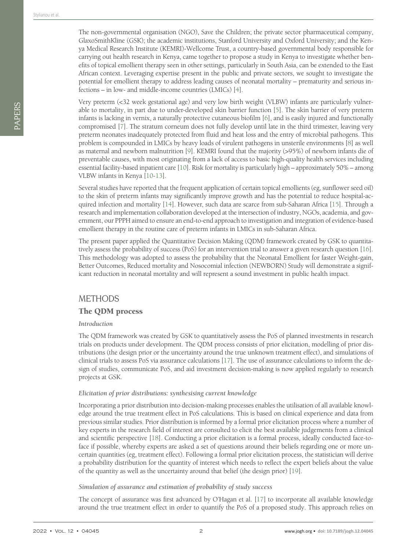The non-governmental organisation (NGO), Save the Children; the private sector pharmaceutical company, GlaxoSmithKline (GSK); the academic institutions, Stanford University and Oxford University; and the Kenya Medical Research Institute (KEMRI)-Wellcome Trust, a country-based governmental body responsible for carrying out health research in Kenya, came together to propose a study in Kenya to investigate whether benefits of topical emollient therapy seen in other settings, particularly in South Asia, can be extended to the East African context. Leveraging expertise present in the public and private sectors, we sought to investigate the potential for emollient therapy to address leading causes of neonatal mortality – prematurity and serious infections – in low- and middle-income countries (LMICs) [\[4](#page-7-3)].

Very preterm (<32 week gestational age) and very low birth weight (VLBW) infants are particularly vulnerable to mortality, in part due to under-developed skin barrier function [\[5\]](#page-7-4). The skin barrier of very preterm infants is lacking in vernix, a naturally protective cutaneous biofilm [\[6](#page-7-5)], and is easily injured and functionally compromised [\[7](#page-7-6)]. The stratum corneum does not fully develop until late in the third trimester, leaving very preterm neonates inadequately protected from fluid and heat loss and the entry of microbial pathogens. This problem is compounded in LMICs by heavy loads of virulent pathogens in unsterile environments [[8\]](#page-7-7) as well as maternal and newborn malnutrition [\[9](#page-7-8)]. KEMRI found that the majority (>95%) of newborn infants die of preventable causes, with most originating from a lack of access to basic high-quality health services including essential facility-based inpatient care [\[10](#page-7-9)]. Risk for mortality is particularly high – approximately 50% – among VLBW infants in Kenya [[10](#page-7-9)[-13](#page-7-10)].

Several studies have reported that the frequent application of certain topical emollients (eg, sunflower seed oil) to the skin of preterm infants may significantly improve growth and has the potential to reduce hospital-ac-quired infection and mortality [[14\]](#page-7-11). However, such data are scarce from sub-Saharan Africa [[15\]](#page-7-12). Through a research and implementation collaboration developed at the intersection of industry, NGOs, academia, and government, our PPPH aimed to ensure an end-to-end approach to investigation and integration of evidence-based emollient therapy in the routine care of preterm infants in LMICs in sub-Saharan Africa.

The present paper applied the Quantitative Decision Making (QDM) framework created by GSK to quantitatively assess the probability of success (PoS) for an intervention trial to answer a given research question [[16\]](#page-7-13). This methodology was adopted to assess the probability that the Neonatal Emollient for faster Weight-gain, Better Outcomes, Reduced mortality and Nosocomial infection (NEWBORN) Study will demonstrate a significant reduction in neonatal mortality and will represent a sound investment in public health impact.

# **METHODS**

#### The QDM process

#### *Introduction*

The QDM framework was created by GSK to quantitatively assess the PoS of planned investments in research trials on products under development. The QDM process consists of prior elicitation, modelling of prior distributions (the design prior or the uncertainty around the true unknown treatment effect), and simulations of clinical trials to assess PoS via assurance calculations [\[17\]](#page-7-14). The use of assurance calculations to inform the design of studies, communicate PoS, and aid investment decision-making is now applied regularly to research projects at GSK.

#### *Elicitation of prior distributions: synthesising current knowledge*

Incorporating a prior distribution into decision-making processes enables the utilisation of all available knowledge around the true treatment effect in PoS calculations. This is based on clinical experience and data from previous similar studies. Prior distribution is informed by a formal prior elicitation process where a number of key experts in the research field of interest are consulted to elicit the best available judgements from a clinical and scientific perspective [\[18\]](#page-7-15). Conducting a prior elicitation is a formal process, ideally conducted face-toface if possible, whereby experts are asked a set of questions around their beliefs regarding one or more uncertain quantities (eg, treatment effect). Following a formal prior elicitation process, the statistician will derive a probability distribution for the quantity of interest which needs to reflect the expert beliefs about the value of the quantity as well as the uncertainty around that belief (the design prior) [\[19](#page-7-16)].

#### *Simulation of assurance and estimation of probability of study success*

The concept of assurance was first advanced by O'Hagan et al. [\[17](#page-7-14)] to incorporate all available knowledge around the true treatment effect in order to quantify the PoS of a proposed study. This approach relies on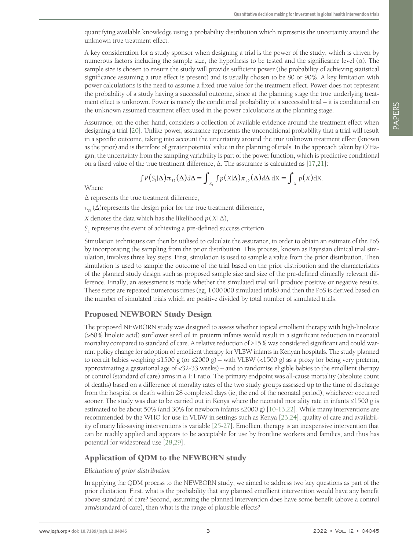quantifying available knowledge using a probability distribution which represents the uncertainty around the unknown true treatment effect.

A key consideration for a study sponsor when designing a trial is the power of the study, which is driven by numerous factors including the sample size, the hypothesis to be tested and the significance level (α). The sample size is chosen to ensure the study will provide sufficient power (the probability of achieving statistical significance assuming a true effect is present) and is usually chosen to be 80 or 90%. A key limitation with power calculations is the need to assume a fixed true value for the treatment effect. Power does not represent the probability of a study having a successful outcome, since at the planning stage the true underlying treatment effect is unknown. Power is merely the conditional probability of a successful trial – it is conditional on the unknown assumed treatment effect used in the power calculations at the planning stage.

Assurance, on the other hand, considers a collection of available evidence around the treatment effect when designing a trial [[20\]](#page-7-17). Unlike power, assurance represents the unconditional probability that a trial will result in a specific outcome, taking into account the uncertainty around the true unknown treatment effect (known as the prior) and is therefore of greater potential value in the planning of trials. In the approach taken by O'Hagan, the uncertainty from the sampling variability is part of the power function, which is predictive conditional on a fixed value of the true treatment difference, Δ. The assurance is calculated as [\[17](#page-7-14),[21\]](#page-8-0):

$$
\int P(S_1|\Delta)\pi_D(\Delta)d\Delta = \int_{x_1} \int p(X|\Delta)\pi_D(\Delta)d\Delta dX = \int_{x_1} p(X)dX.
$$

Where

Δ represents the true treatment difference,

 $\pi_{\rm\scriptscriptstyle D}^{}$  ( $\Delta$ )represents the design prior for the true treatment difference,

*X* denotes the data which has the likelihood  $p(X|\Delta)$ ,

*S*1 represents the event of achieving a pre-defined success criterion.

Simulation techniques can then be utilised to calculate the assurance, in order to obtain an estimate of the PoS by incorporating the sampling from the prior distribution. This process, known as Bayesian clinical trial simulation, involves three key steps. First, simulation is used to sample a value from the prior distribution. Then simulation is used to sample the outcome of the trial based on the prior distribution and the characteristics of the planned study design such as proposed sample size and size of the pre-defined clinically relevant difference. Finally, an assessment is made whether the simulated trial will produce positive or negative results. These steps are repeated numerous times (eg, 1000000 simulated trials) and then the PoS is derived based on the number of simulated trials which are positive divided by total number of simulated trials.

#### Proposed NEWBORN Study Design

The proposed NEWBORN study was designed to assess whether topical emollient therapy with high-linoleate (>60% linoleic acid) sunflower seed oil in preterm infants would result in a significant reduction in neonatal mortality compared to standard of care. A relative reduction of ≥15% was considered significant and could warrant policy change for adoption of emollient therapy for VLBW infants in Kenyan hospitals. The study planned to recruit babies weighing ≤1500 g (or ≤2000 g) – with VLBW (<1500 g) as a proxy for being very preterm, approximating a gestational age of <32-33 weeks) – and to randomise eligible babies to the emollient therapy or control (standard of care) arms in a 1:1 ratio. The primary endpoint was all-cause mortality (absolute count of deaths) based on a difference of morality rates of the two study groups assessed up to the time of discharge from the hospital or death within 28 completed days (ie, the end of the neonatal period), whichever occurred sooner. The study was due to be carried out in Kenya where the neonatal mortality rate in infants ≤1500 g is estimated to be about 50% (and 30% for newborn infants ≤2000 g) [[10-](#page-7-9)[13](#page-7-10),[22\]](#page-8-1). While many interventions are recommended by the WHO for use in VLBW in settings such as Kenya [\[23,](#page-8-2)[24](#page-8-3)], quality of care and availability of many life-saving interventions is variable [[25](#page-8-4)[-27](#page-8-5)]. Emollient therapy is an inexpensive intervention that can be readily applied and appears to be acceptable for use by frontline workers and families, and thus has potential for widespread use [\[28](#page-8-6)[,29](#page-8-7)].

#### Application of QDM to the NEWBORN study

#### *Elicitation of prior distribution*

In applying the QDM process to the NEWBORN study, we aimed to address two key questions as part of the prior elicitation. First, what is the probability that any planned emollient intervention would have any benefit above standard of care? Second, assuming the planned intervention does have some benefit (above a control arm/standard of care), then what is the range of plausible effects?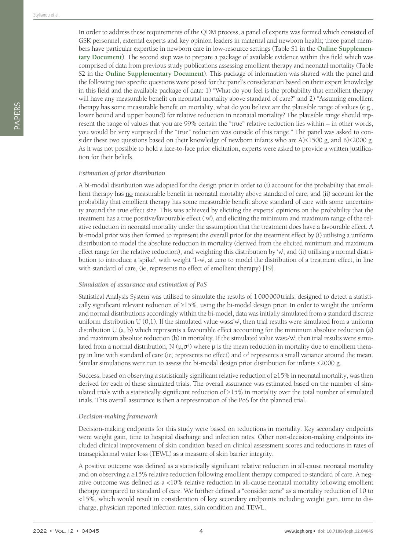In order to address these requirements of the QDM process, a panel of experts was formed which consisted of GSK personnel, external experts and key opinion leaders in maternal and newborn health; three panel members have particular expertise in newborn care in low-resource settings (Table S1 in the **[Online Supplemen](#page-7-18)[tary Document](#page-7-18)**). The second step was to prepare a package of available evidence within this field which was comprised of data from previous study publications assessing emollient therapy and neonatal mortality (Table S2 in the **[Online Supplementary Document](#page-7-18)**). This package of information was shared with the panel and the following two specific questions were posed for the panel's consideration based on their expert knowledge in this field and the available package of data: 1) "What do you feel is the probability that emollient therapy will have any measurable benefit on neonatal mortality above standard of care?" and 2) "Assuming emollient therapy has some measurable benefit on mortality, what do you believe are the plausible range of values (e.g., lower bound and upper bound) for relative reduction in neonatal mortality? The plausible range should represent the range of values that you are 99% certain the "true" relative reduction lies within – in other words, you would be very surprised if the "true" reduction was outside of this range." The panel was asked to consider these two questions based on their knowledge of newborn infants who are A)≤1500 g, and B)≤2000 g. As it was not possible to hold a face-to-face prior elicitation, experts were asked to provide a written justification for their beliefs.

#### *Estimation of prior distribution*

A bi-modal distribution was adopted for the design prior in order to (i) account for the probability that emollient therapy has no measurable benefit in neonatal mortality above standard of care, and (ii) account for the probability that emollient therapy has some measurable benefit above standard of care with some uncertainty around the true effect size. This was achieved by eliciting the experts' opinions on the probability that the treatment has a true positive/favourable effect ('w'), and eliciting the minimum and maximum range of the relative reduction in neonatal mortality under the assumption that the treatment does have a favourable effect. A bi-modal prior was then formed to represent the overall prior for the treatment effect by (i) utilising a uniform distribution to model the absolute reduction in mortality (derived from the elicited minimum and maximum effect range for the relative reduction), and weighting this distribution by 'w', and (ii) utilising a normal distribution to introduce a 'spike', with weight '1-w', at zero to model the distribution of a treatment effect, in line with standard of care, (ie, represents no effect of emollient therapy) [[19](#page-7-16)].

#### *Simulation of assurance and estimation of PoS*

Statistical Analysis System was utilised to simulate the results of 1000000trials, designed to detect a statistically significant relevant reduction of ≥15%, using the bi-model design prior. In order to weight the uniform and normal distributions accordingly within the bi-model, data was initially simulated from a standard discrete uniform distribution U (0,1). If the simulated value was $\leq w$ , then trial results were simulated from a uniform distribution U (a, b) which represents a favourable effect accounting for the minimum absolute reduction (a) and maximum absolute reduction (b) in mortality. If the simulated value was>'w', then trial results were simulated from a normal distribution, N ( $\mu$ , $\sigma$ <sup>2</sup>) where  $\mu$  is the mean reduction in mortality due to emollient therapy in line with standard of care (ie, represents no effect) and  $\sigma^2$  represents a small variance around the mean. Similar simulations were run to assess the bi-modal design prior distribution for infants ≤2000 g.

Success, based on observing a statistically significant relative reduction of ≥15% in neonatal mortality, was then derived for each of these simulated trials. The overall assurance was estimated based on the number of simulated trials with a statistically significant reduction of ≥15% in mortality over the total number of simulated trials. This overall assurance is then a representation of the PoS for the planned trial.

#### *Decision-making framework*

Decision-making endpoints for this study were based on reductions in mortality. Key secondary endpoints were weight gain, time to hospital discharge and infection rates. Other non-decision-making endpoints included clinical improvement of skin condition based on clinical assessment scores and reductions in rates of transepidermal water loss (TEWL) as a measure of skin barrier integrity.

A positive outcome was defined as a statistically significant relative reduction in all-cause neonatal mortality and on observing a ≥15% relative reduction following emollient therapy compared to standard of care. A negative outcome was defined as a <10% relative reduction in all-cause neonatal mortality following emollient therapy compared to standard of care. We further defined a "consider zone" as a mortality reduction of 10 to <15%, which would result in consideration of key secondary endpoints including weight gain, time to discharge, physician reported infection rates, skin condition and TEWL.

PAPERS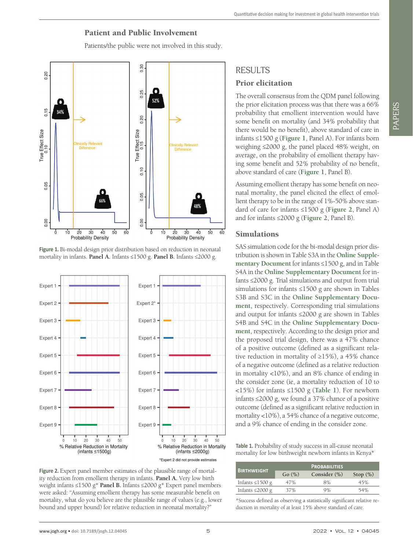### Patient and Public Involvement

Patients/the public were not involved in this study.

<span id="page-4-0"></span>

**Figure 1.** Bi-modal design prior distribution based on reduction in neonatal mortality in infants. **Panel A.** Infants ≤1500 g. **Panel B.** Infants ≤2000 g.

<span id="page-4-1"></span>

Figure 2. Expert panel member estimates of the plausible range of mortality reduction from emollient therapy in infants. **Panel A.** Very low birth weight infants ≤1500 g\* **Panel B.** Infants ≤2000 g\* Expert panel members were asked: "Assuming emollient therapy has some measurable benefit on mortality, what do you believe are the plausible range of values (e.g., lower bound and upper bound) for relative reduction in neonatal mortality?"

# **RESULTS** Prior elicitation

The overall consensus from the QDM panel following the prior elicitation process was that there was a 66% probability that emollient intervention would have some benefit on mortality (and 34% probability that there would be no benefit), above standard of care in infants ≤1500 g (**[Figure 1](#page-4-0)**, Panel A). For infants born weighing ≤2000 g, the panel placed 48% weight, on average, on the probability of emollient therapy having some benefit and 52% probability of no benefit, above standard of care (**[Figure 1](#page-4-0)**, Panel B).

Assuming emollient therapy has some benefit on neonatal mortality, the panel elicited the effect of emollient therapy to be in the range of 1%-50% above standard of care for infants ≤1500 g (**[Figure 2](#page-4-1)**, Panel A) and for infants ≤2000 g (**[Figure 2](#page-4-1)**, Panel B).

#### Simulations

SAS simulation code for the bi-modal design prior distribution is shown in Table S3A in the **[Online Supple](#page-7-18)[mentary Document](#page-7-18)** for infants ≤1500 g, and in Table S4A in the **[Online Supplementary Document](#page-7-18)** for infants ≤2000 g. Trial simulations and output from trial simulations for infants ≤1500 g are shown in Tables S3B and S3C in the **[Online Supplementary Docu](#page-7-18)[ment](#page-7-18)**, respectively. Corresponding trial simulations and output for infants ≤2000 g are shown in Tables S4B and S4C in the **[Online Supplementary Docu](#page-7-18)[ment](#page-7-18)**, respectively. According to the design prior and the proposed trial design, there was a 47% chance of a positive outcome (defined as a significant relative reduction in mortality of ≥15%), a 45% chance of a negative outcome (defined as a relative reduction in mortality <10%), and an 8% chance of ending in the consider zone (ie, a mortality reduction of 10 to <15%) for infants ≤1500 g (**[Table 1](#page-4-2)**). For newborn infants ≤2000 g, we found a 37% chance of a positive outcome (defined as a significant relative reduction in mortality <10%), a 54% chance of a negative outcome, and a 9% chance of ending in the consider zone.

<span id="page-4-2"></span>**Table 1.** Probability of study success in all-cause neonatal mortality for low birthweight newborn infants in Kenya\*

| <b>BIRTHWEIGHT</b>    | <b>PROBABILITIES</b> |                 |             |
|-----------------------|----------------------|-----------------|-------------|
|                       | Go (%)               | Consider $(\%)$ | Stop $(\%)$ |
| Infants $\leq$ 1500 g | 47%                  | 8%              | 45%         |
| Infants $\leq$ 2000 g | 37%                  | 9%              | 54%         |

\*Success defined as observing a statistically significant relative reduction in mortality of at least 15% above standard of care.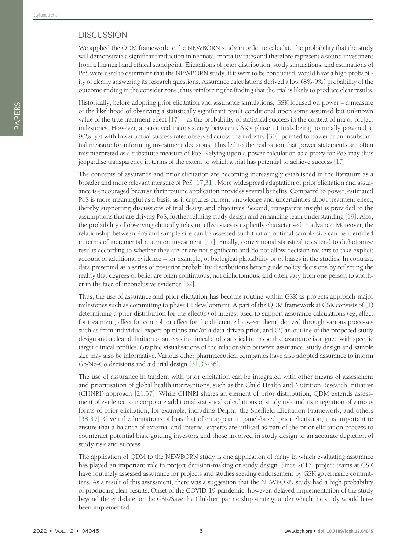## **DISCUSSION**

We applied the QDM framework to the NEWBORN study in order to calculate the probability that the study will demonstrate a significant reduction in neonatal mortality rates and therefore represent a sound investment from a financial and ethical standpoint. Elicitations of prior distribution, study simulations, and estimations of PoS were used to determine that the NEWBORN study, if it were to be conducted, would have a high probability of clearly answering its research questions. Assurance calculations derived a low (8%-9%) probability of the outcome ending in the consider zone, thus reinforcing the finding that the trial is likely to produce clear results.

Historically, before adopting prior elicitation and assurance simulations, GSK focused on power – a measure of the likelihood of observing a statistically significant result conditional upon some assumed but unknown value of the true treatment effect  $[17]$  $[17]$  – as the probability of statistical success in the context of major project milestones. However, a perceived inconsistency between GSK's phase III trials being nominally powered at 90%, yet with lower actual success rates observed across the industry [[30](#page-8-8)], pointed to power as an insubstantial measure for informing investment decisions. This led to the realisation that power statements are often misinterpreted as a substitute measure of PoS. Relying upon a power calculation as a proxy for PoS may thus jeopardise transparency in terms of the extent to which a trial has potential to achieve success [\[17\]](#page-7-14).

The concepts of assurance and prior elicitation are becoming increasingly established in the literature as a broader and more relevant measure of PoS [\[17](#page-7-14),[31\]](#page-8-9). More widespread adaptation of prior elicitation and assurance is encouraged because their routine application provides several benefits. Compared to power, estimated PoS is more meaningful as a basis, as it captures current knowledge and uncertainties about treatment effect, thereby supporting discussions of trial design and objectives. Second, transparent insight is provided to the assumptions that are driving PoS, further refining study design and enhancing team understanding [\[19](#page-7-16)]. Also, the probability of observing clinically relevant effect sizes is explicitly characterised in advance. Moreover, the relationship between PoS and sample size can be assessed such that an optimal sample size can be identified in terms of incremental return on investment [\[17](#page-7-14)]. Finally, conventional statistical tests tend to dichotomise results according to whether they are or are not significant and do not allow decision makers to take explicit account of additional evidence – for example, of biological plausibility or of biases in the studies. In contrast, data presented as a series of posterior probability distributions better guide policy decisions by reflecting the reality that degrees of belief are often continuous, not dichotomous, and often vary from one person to another in the face of inconclusive evidence [\[32\]](#page-8-10).

Thus, the use of assurance and prior elicitation has become routine within GSK as projects approach major milestones such as committing to phase III development. A part of the QDM framework at GSK consists of (1) determining a prior distribution for the effect(s) of interest used to support assurance calculations (eg, effect for treatment, effect for control, or effect for the difference between them) derived through various processes such as from individual expert opinions and/or a data-driven prior; and (2) an outline of the proposed study design and a clear definition of success in clinical and statistical terms so that assurance is aligned with specific target clinical profiles. Graphic visualisations of the relationship between assurance, study design and sample size may also be informative. Various other pharmaceutical companies have also adopted assurance to inform Go/No-Go decisions and aid trial design [\[31](#page-8-9),[33](#page-8-11)[-36](#page-8-12)].

The use of assurance in tandem with prior elicitation can be integrated with other means of assessment and prioritisation of global health interventions, such as the Child Health and Nutrition Research Initiative (CHNRI) approach [\[21](#page-8-0)[,37](#page-8-13)]. While CHNRI shares an element of prior distribution, QDM extends assessment of evidence to incorporate additional statistical calculations of study risk and its integration of various forms of prior elicitation, for example, including Delphi, the Sheffield Elicitation Framework, and others [[38](#page-8-14),[39](#page-8-15)]. Given the limitations of bias that often appear in panel-based prior elicitation, it is important to ensure that a balance of external and internal experts are utilised as part of the prior elicitation process to counteract potential bias, guiding investors and those involved in study design to an accurate depiction of study risk and success.

The application of QDM to the NEWBORN study is one application of many in which evaluating assurance has played an important role in project decision-making or study design. Since 2017, project teams at GSK have routinely assessed assurance for projects and studies seeking endorsement by GSK governance committees. As a result of this assessment, there was a suggestion that the NEWBORN study had a high probability of producing clear results. Onset of the COVID-19 pandemic, however, delayed implementation of the study beyond the end-date for the GSK/Save the Children partnership strategy under which the study would have been implemented.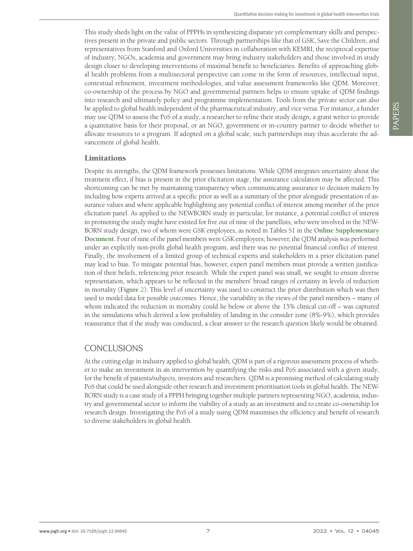This study sheds light on the value of PPPHs in synthesizing disparate yet complementary skills and perspectives present in the private and public sectors. Through partnerships like that of GSK, Save the Children, and representatives from Stanford and Oxford Universities in collaboration with KEMRI, the reciprocal expertise of industry, NGOs, academia and government may bring industry stakeholders and those involved in study design closer to developing interventions of maximal benefit to beneficiaries. Benefits of approaching global health problems from a multisectoral perspective can come in the form of resources, intellectual input, contextual refinement, investment methodologies, and value assessment frameworks like QDM. Moreover, co-ownership of the process by NGO and governmental partners helps to ensure uptake of QDM findings into research and ultimately policy and programme implementation. Tools from the private sector can also be applied to global health independent of the pharmaceutical industry, and vice versa. For instance, a funder may use QDM to assess the PoS of a study, a researcher to refine their study design, a grant writer to provide a quantitative basis for their proposal, or an NGO, government or in-country partner to decide whether to allocate resources to a program. If adopted on a global scale, such partnerships may thus accelerate the advancement of global health.

#### Limitations

Despite its strengths, the QDM framework possesses limitations. While QDM integrates uncertainty about the treatment effect, if bias is present in the prior elicitation stage, the assurance calculation may be affected. This shortcoming can be met by maintaining transparency when communicating assurance to decision makers by including how experts arrived at a specific prior as well as a summary of the prior alongside presentation of assurance values and where applicable highlighting any potential conflict of interest among member of the prior elicitation panel. As applied to the NEWBORN study in particular, for instance, a potential conflict of interest in promoting the study might have existed for five out of nine of the panellists, who were involved in the NEW-BORN study design, two of whom were GSK employees, as noted in Tables S1 in the **[Online Supplementary](#page-7-18) [Document](#page-7-18)**. Four of nine of the panel members were GSK employees; however, the QDM analysis was performed under an explicitly non-profit global health program, and there was no potential financial conflict of interest. Finally, the involvement of a limited group of technical experts and stakeholders in a prior elicitation panel may lead to bias. To mitigate potential bias, however, expert panel members must provide a written justification of their beliefs, referencing prior research. While the expert panel was small, we sought to ensure diverse representation, which appears to be reflected in the members' broad ranges of certainty in levels of reduction in mortality (**[Figure](#page-4-1)** 2). This level of uncertainty was used to construct the prior distribution which was then used to model data for possible outcomes. Hence, the variability in the views of the panel members – many of whom indicated the reduction in mortality could lie below or above the 15% clinical cut-off – was captured in the simulations which derived a low probability of landing in the consider zone (8%-9%), which provides reassurance that if the study was conducted, a clear answer to the research question likely would be obtained.

# CONCLUSIONS

At the cutting edge in industry applied to global health, QDM is part of a rigorous assessment process of whether to make an investment in an intervention by quantifying the risks and PoS associated with a given study, for the benefit of patients/subjects, investors and researchers. QDM is a promising method of calculating study PoS that could be used alongside other research and investment prioritisation tools in global health. The NEW-BORN study is a case study of a PPPH bringing together multiple partners representing NGO, academia, industry and governmental sector to inform the viability of a study as an investment and to create co-ownership for research design. Investigating the PoS of a study using QDM maximises the efficiency and benefit of research to diverse stakeholders in global health.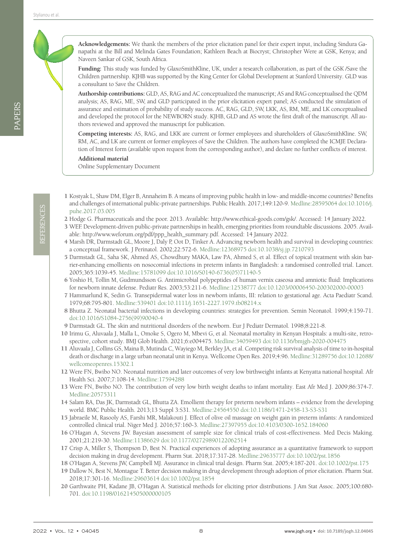REFERENCES REFERENCES **Acknowledgements:** We thank the members of the prior elicitation panel for their expert input, including Sindura Ganapathi at the Bill and Melinda Gates Foundation; Kathleen Beach at Biocryst; Christopher Were at GSK, Kenya; and Naveen Sankar of GSK, South Africa.

**Funding:** This study was funded by GlaxoSmithKline, UK, under a research collaboration, as part of the GSK /Save the Children partnership. KJHB was supported by the King Center for Global Development at Stanford University. GLD was a consultant to Save the Children.

**Authorship contributions:** GLD, AS, RAG and AC conceptualized the manuscript; AS and RAG conceptualised the QDM analysis; AS, RAG, ME, SW, and GLD participated in the prior elicitation expert panel; AS conducted the simulation of assurance and estimation of probability of study success. AC, RAG, GLD, SW, LKK, AS, RM, ME, and LK conceptualised and developed the protocol for the NEWBORN study. KJHB, GLD and AS wrote the first draft of the manuscript. All authors reviewed and approved the manuscript for publication.

**Competing interests:** AS, RAG, and LKK are current or former employees and shareholders of GlaxoSmithKline. SW, RM, AC, and LK are current or former employees of Save the Children. The authors have completed the ICMJE Declaration of Interest form (available upon request from the corresponding author), and declare no further conflicts of interest.

**Additional material**

<span id="page-7-18"></span>[Online Supplementary Document](https://jogh.org/documents/2022/jogh-12-04045-s001.pdf)

- <span id="page-7-0"></span>1 Kostyak L, Shaw DM, Elger B, Annaheim B. A means of improving public health in low- and middle-income countries? Benefits and challenges of international public-private partnerships. Public Health. 2017;149:120-9. [Medline:28595064](https://www.ncbi.nlm.nih.gov/entrez/query.fcgi?cmd=Retrieve&db=PubMed&list_uids=28595064&dopt=Abstract) [doi:10.1016/j.](https://doi.org/10.1016/j.puhe.2017.03.005) [puhe.2017.03.005](https://doi.org/10.1016/j.puhe.2017.03.005)
- <span id="page-7-1"></span>2 Hodge G. Pharmaceuticals and the poor. 2013. Available: [http://www.ethical-goods.com/gsk/.](http://www.ethical-goods.com/gsk/) Accessed: 14 January 2022.
- <span id="page-7-2"></span>3 WEF. Development-driven public-private partnerships in health, emerging priorities from roundtable discussions. 2005. Available: [http://www.weforum.org/pdf/ppp\\_health\\_summary.pdf.](http://www.weforum.org/pdf/ppp_health_summary.pdf) Accessed: 14 January 2022.
- <span id="page-7-3"></span>4 Marsh DR, Darmstadt GL, Moore J, Daly P, Oot D, Tinker A. Advancing newborn health and survival in developing countries: a conceptual framework. J Perinatol. 2002;22:572-6. [Medline:12368975](https://www.ncbi.nlm.nih.gov/entrez/query.fcgi?cmd=Retrieve&db=PubMed&list_uids=12368975&dopt=Abstract) [doi:10.1038/sj.jp.7210793](https://doi.org/10.1038/sj.jp.7210793)
- <span id="page-7-4"></span>5 Darmstadt GL, Saha SK, Ahmed AS, Chowdhury MAKA, Law PA, Ahmed S, et al. Effect of topical treatment with skin barrier-enhancing emollients on nosocomial infections in preterm infants in Bangladesh: a randomised controlled trial. Lancet. 2005;365:1039-45. [Medline:15781099](https://www.ncbi.nlm.nih.gov/entrez/query.fcgi?cmd=Retrieve&db=PubMed&list_uids=15781099&dopt=Abstract) [doi:10.1016/S0140-6736\(05\)71140-5](https://doi.org/10.1016/S0140-6736(05)71140-5)
- <span id="page-7-5"></span>6 Yoshio H, Tollin M, Gudmundsson G. Antimicrobial polypeptides of human vernix caseosa and amniotic fluid: Implications for newborn innate defense. Pediatr Res. 2003;53:211-6. [Medline:12538777](https://www.ncbi.nlm.nih.gov/entrez/query.fcgi?cmd=Retrieve&db=PubMed&list_uids=12538777&dopt=Abstract) [doi:10.1203/00006450-200302000-00003](https://doi.org/10.1203/00006450-200302000-00003)
- <span id="page-7-6"></span>7 Hammarlund K, Sedin G. Transepidermal water loss in newborn infants, III: relation to gestational age. Acta Paediatr Scand. 1979;68:795-801. [Medline:539401](https://www.ncbi.nlm.nih.gov/entrez/query.fcgi?cmd=Retrieve&db=PubMed&list_uids=539401&dopt=Abstract) [doi:10.1111/j.1651-2227.1979.tb08214.x](https://doi.org/10.1111/j.1651-2227.1979.tb08214.x)
- <span id="page-7-7"></span>8 Bhutta Z. Neonatal bacterial infections in developing countries: strategies for prevention. Semin Neonatol. 1999;4:159-71. [doi:10.1016/S1084-2756\(99\)90040-4](https://doi.org/10.1016/S1084-2756(99)90040-4)
- <span id="page-7-8"></span>9 Darmstadt GL. The skin and nutritional disorders of the newborn. Eur J Pediatr Dermatol. 1998;8:221-8.
- <span id="page-7-9"></span>10 Irimu G, Aluvaala J, Malla L, Omoke S, Ogero M, Mbevi G, et al. Neonatal mortality in Kenyan Hospitals: a multi-site, retrospective, cohort study. BMJ Glob Health. 2021;6:e004475. [Medline:34059493](https://www.ncbi.nlm.nih.gov/entrez/query.fcgi?cmd=Retrieve&db=PubMed&list_uids=34059493&dopt=Abstract) [doi:10.1136/bmjgh-2020-004475](https://doi.org/10.1136/bmjgh-2020-004475)
- 11 Aluvaala J, Collins GS, Maina B, Mutinda C, Wayiego M, Berkley JA, et al. Competing risk survival analysis of time to in-hospital death or discharge in a large urban neonatal unit in Kenya. Wellcome Open Res. 2019;4:96. [Medline:31289756](https://www.ncbi.nlm.nih.gov/entrez/query.fcgi?cmd=Retrieve&db=PubMed&list_uids=31289756&dopt=Abstract) [doi:10.12688/](https://doi.org/10.12688/wellcomeopenres.15302.1) [wellcomeopenres.15302.1](https://doi.org/10.12688/wellcomeopenres.15302.1)
- 12 Were FN, Bwibo NO. Neonatal nutrition and later outcomes of very low birthweight infants at Kenyatta national hospital. Afr Health Sci. 2007;7:108-14. [Medline:17594288](https://www.ncbi.nlm.nih.gov/entrez/query.fcgi?cmd=Retrieve&db=PubMed&list_uids=17594288&dopt=Abstract)
- <span id="page-7-10"></span>13 Were FN, Bwibo NO. The contribution of very low birth weight deaths to infant mortality. East Afr Med J. 2009;86:374-7. [Medline:20575311](https://www.ncbi.nlm.nih.gov/entrez/query.fcgi?cmd=Retrieve&db=PubMed&list_uids=20575311&dopt=Abstract)
- <span id="page-7-11"></span>14 Salam RA, Das JK, Darmstadt GL, Bhutta ZA. Emollient therapy for preterm newborn infants – evidence from the developing world. BMC Public Health. 2013;13 Suppl 3:S31. [Medline:24564550](https://www.ncbi.nlm.nih.gov/entrez/query.fcgi?cmd=Retrieve&db=PubMed&list_uids=24564550&dopt=Abstract) [doi:10.1186/1471-2458-13-S3-S31](https://doi.org/10.1186/1471-2458-13-S3-S31)
- <span id="page-7-12"></span>15 Jabraeile M, Rasooly AS, Farshi MR, Malakouti J. Effect of olive oil massage on weight gain in preterm infants: A randomized controlled clinical trial. Niger Med J. 2016;57:160-3. [Medline:27397955](https://www.ncbi.nlm.nih.gov/entrez/query.fcgi?cmd=Retrieve&db=PubMed&list_uids=27397955&dopt=Abstract) [doi:10.4103/0300-1652.184060](https://doi.org/10.4103/0300-1652.184060)
- <span id="page-7-13"></span>16 O'Hagan A, Stevens JW. Bayesian assessment of sample size for clinical trials of cost-effectiveness. Med Decis Making. 2001;21:219-30. [Medline:11386629](https://www.ncbi.nlm.nih.gov/entrez/query.fcgi?cmd=Retrieve&db=PubMed&list_uids=11386629&dopt=Abstract) [doi:10.1177/02729890122062514](https://doi.org/10.1177/02729890122062514)
- <span id="page-7-14"></span>17 Crisp A, Miller S, Thompson D, Best N. Practical experiences of adopting assurance as a quantitative framework to support decision making in drug development. Pharm Stat. 2018;17:317-28. [Medline:29635777](https://www.ncbi.nlm.nih.gov/entrez/query.fcgi?cmd=Retrieve&db=PubMed&list_uids=29635777&dopt=Abstract) [doi:10.1002/pst.1856](https://doi.org/10.1002/pst.1856)
- <span id="page-7-15"></span>18 O'Hagan A, Stevens JW, Campbell MJ. Assurance in clinical trial design. Pharm Stat. 2005;4:187-201. [doi:10.1002/pst.175](https://doi.org/10.1002/pst.175)
- <span id="page-7-16"></span>19 Dallow N, Best N, Montague T. Better decision making in drug development through adoption of prior elicitation. Pharm Stat. 2018;17:301-16. [Medline:29603614](https://www.ncbi.nlm.nih.gov/entrez/query.fcgi?cmd=Retrieve&db=PubMed&list_uids=29603614&dopt=Abstract) [doi:10.1002/pst.1854](https://doi.org/10.1002/pst.1854)
- <span id="page-7-17"></span>20 Garthwaite PH, Kadane JB, O'Hagan A. Statistical methods for eliciting prior distributions. J Am Stat Assoc. 2005;100:680- 701. [doi:10.1198/016214505000000105](https://doi.org/10.1198/016214505000000105)